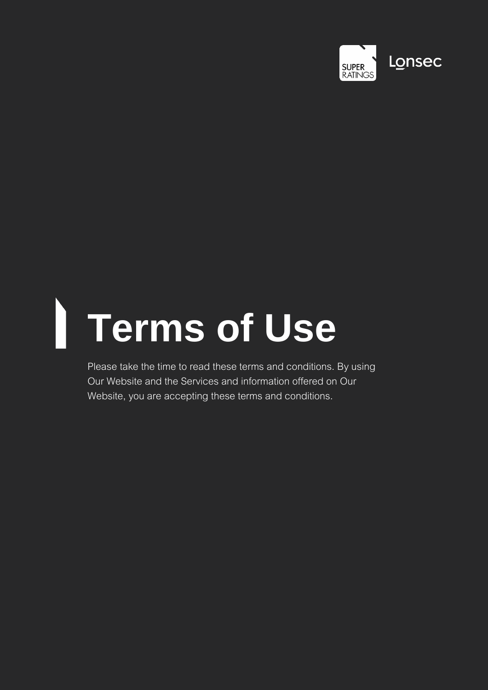

# **Terms of Use**

Please take the time to read these terms and conditions. By using Our Website and the Services and information offered on Our Website, you are accepting these terms and conditions.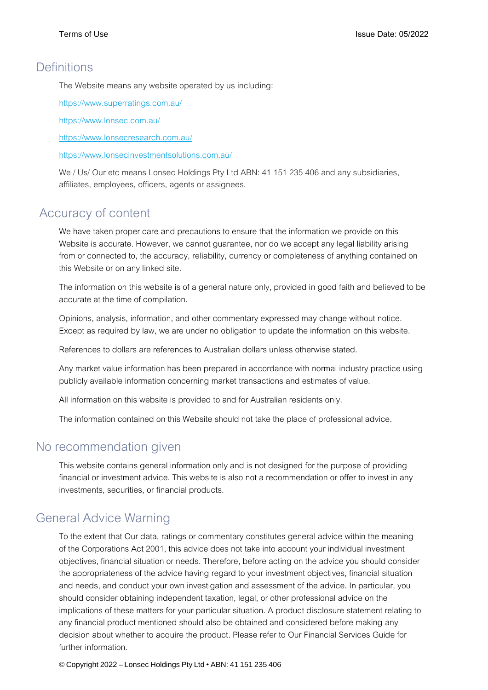#### **Definitions**

The Website means any website operated by us including:

<https://www.superratings.com.au/>

<https://www.lonsec.com.au/>

<https://www.lonsecresearch.com.au/>

<https://www.lonsecinvestmentsolutions.com.au/>

We / Us/ Our etc means Lonsec Holdings Pty Ltd ABN: 41 151 235 406 and any subsidiaries, affiliates, employees, officers, agents or assignees.

# Accuracy of content

We have taken proper care and precautions to ensure that the information we provide on this Website is accurate. However, we cannot guarantee, nor do we accept any legal liability arising from or connected to, the accuracy, reliability, currency or completeness of anything contained on this Website or on any linked site.

The information on this website is of a general nature only, provided in good faith and believed to be accurate at the time of compilation.

Opinions, analysis, information, and other commentary expressed may change without notice. Except as required by law, we are under no obligation to update the information on this website.

References to dollars are references to Australian dollars unless otherwise stated.

Any market value information has been prepared in accordance with normal industry practice using publicly available information concerning market transactions and estimates of value.

All information on this website is provided to and for Australian residents only.

The information contained on this Website should not take the place of professional advice.

#### No recommendation given

This website contains general information only and is not designed for the purpose of providing financial or investment advice. This website is also not a recommendation or offer to invest in any investments, securities, or financial products.

## General Advice Warning

To the extent that Our data, ratings or commentary constitutes general advice within the meaning of the Corporations Act 2001, this advice does not take into account your individual investment objectives, financial situation or needs. Therefore, before acting on the advice you should consider the appropriateness of the advice having regard to your investment objectives, financial situation and needs, and conduct your own investigation and assessment of the advice. In particular, you should consider obtaining independent taxation, legal, or other professional advice on the implications of these matters for your particular situation. A product disclosure statement relating to any financial product mentioned should also be obtained and considered before making any decision about whether to acquire the product. Please refer to Our Financial Services Guide for further information.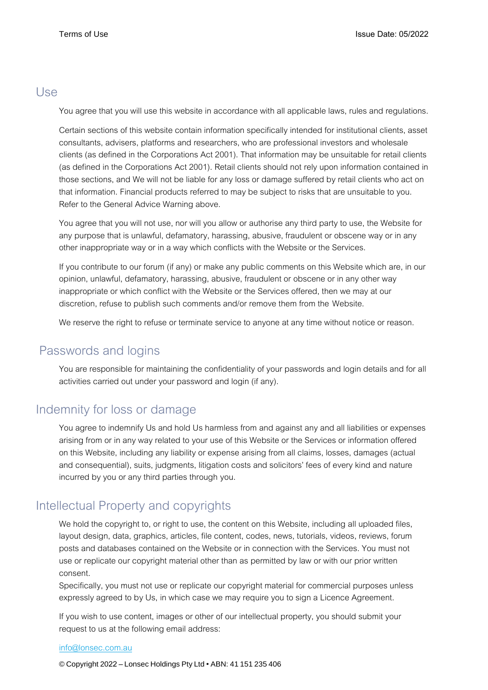#### Use

You agree that you will use this website in accordance with all applicable laws, rules and regulations.

Certain sections of this website contain information specifically intended for institutional clients, asset consultants, advisers, platforms and researchers, who are professional investors and wholesale clients (as defined in the Corporations Act 2001). That information may be unsuitable for retail clients (as defined in the Corporations Act 2001). Retail clients should not rely upon information contained in those sections, and We will not be liable for any loss or damage suffered by retail clients who act on that information. Financial products referred to may be subject to risks that are unsuitable to you. Refer to the General Advice Warning above.

You agree that you will not use, nor will you allow or authorise any third party to use, the Website for any purpose that is unlawful, defamatory, harassing, abusive, fraudulent or obscene way or in any other inappropriate way or in a way which conflicts with the Website or the Services.

If you contribute to our forum (if any) or make any public comments on this Website which are, in our opinion, unlawful, defamatory, harassing, abusive, fraudulent or obscene or in any other way inappropriate or which conflict with the Website or the Services offered, then we may at our discretion, refuse to publish such comments and/or remove them from the Website.

We reserve the right to refuse or terminate service to anyone at any time without notice or reason.

## Passwords and logins

You are responsible for maintaining the confidentiality of your passwords and login details and for all activities carried out under your password and login (if any).

## Indemnity for loss or damage

You agree to indemnify Us and hold Us harmless from and against any and all liabilities or expenses arising from or in any way related to your use of this Website or the Services or information offered on this Website, including any liability or expense arising from all claims, losses, damages (actual and consequential), suits, judgments, litigation costs and solicitors' fees of every kind and nature incurred by you or any third parties through you.

# Intellectual Property and copyrights

We hold the copyright to, or right to use, the content on this Website, including all uploaded files, layout design, data, graphics, articles, file content, codes, news, tutorials, videos, reviews, forum posts and databases contained on the Website or in connection with the Services. You must not use or replicate our copyright material other than as permitted by law or with our prior written consent.

Specifically, you must not use or replicate our copyright material for commercial purposes unless expressly agreed to by Us, in which case we may require you to sign a Licence Agreement.

If you wish to use content, images or other of our intellectual property, you should submit your request to us at the following email address:

#### [info@lonsec.com.au](mailto:info@lonsec.com.au)

© Copyright 2022 – Lonsec Holdings Pty Ltd • ABN: 41 151 235 406